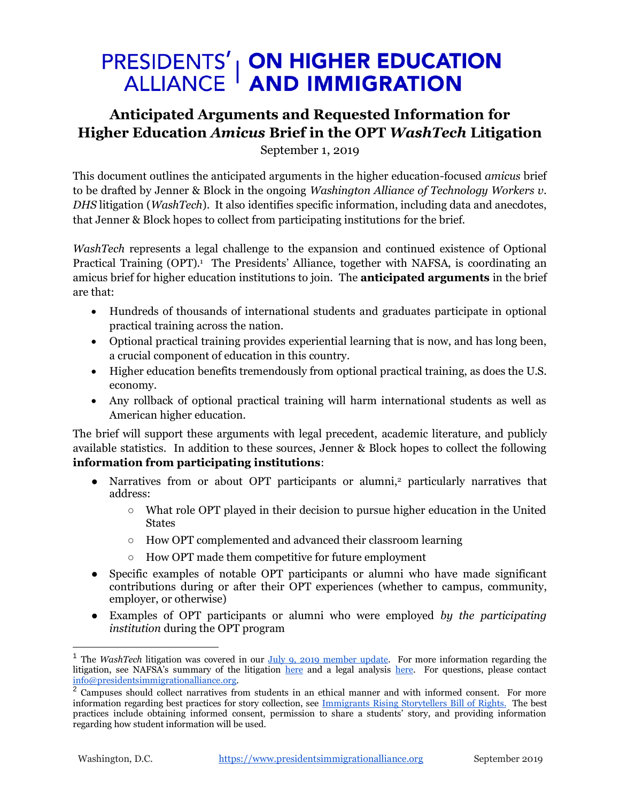## **PRESIDENTS' | ON HIGHER EDUCATION<br>ALLIANCE | AND IMMIGRATION**

## **Anticipated Arguments and Requested Information for Higher Education** *Amicus* **Brief in the OPT** *WashTech* **Litigation**

September 1, 2019

This document outlines the anticipated arguments in the higher education-focused *amicus* brief to be drafted by Jenner & Block in the ongoing *Washington Alliance of Technology Workers v. DHS* litigation (*WashTech*). It also identifies specific information, including data and anecdotes, that Jenner & Block hopes to collect from participating institutions for the brief.

*WashTech* represents a legal challenge to the expansion and continued existence of Optional Practical Training (OPT).<sup>1</sup> The Presidents' Alliance, together with NAFSA, is coordinating an amicus brief for higher education institutions to join. The **anticipated arguments** in the brief are that:

- Hundreds of thousands of international students and graduates participate in optional practical training across the nation.
- Optional practical training provides experiential learning that is now, and has long been, a crucial component of education in this country.
- Higher education benefits tremendously from optional practical training, as does the U.S. economy.
- Any rollback of optional practical training will harm international students as well as American higher education.

The brief will support these arguments with legal precedent, academic literature, and publicly available statistics. In addition to these sources, Jenner & Block hopes to collect the following **information from participating institutions**:

- Narratives from or about OPT participants or alumni,<sup>2</sup> particularly narratives that address:
	- $\circ$  What role OPT played in their decision to pursue higher education in the United States
	- How OPT complemented and advanced their classroom learning
	- How OPT made them competitive for future employment
- Specific examples of notable OPT participants or alumni who have made significant contributions during or after their OPT experiences (whether to campus, community, employer, or otherwise)
- Examples of OPT participants or alumni who were employed *by the participating institution* during the OPT program

 $\overline{a}$ 

<sup>&</sup>lt;sup>1</sup> The *WashTech* litigation was covered in our *July 9, 2019 member update*. For more information regarding the litigation, see NAFSA's summary of the litigation [here](https://www.nafsa.org/Professional_Resources/Browse_by_Interest/International_Students_and_Scholars/STEM_OPT_WashTech_Litigation/) and a legal analysis [here.](http://blog.cyrusmehta.com/2019/07/save-optional-practical-training-for-foreign-students.html) For questions, please contact [info@presidentsimmigrationalliance.org.](mailto:info@presidentsimmigrationalliance.org)

<sup>&</sup>lt;sup>2</sup> Campuses should collect narratives from students in an ethical manner and with informed consent. For more information regarding best practices for story collection, see [Immigrants Rising Storytellers Bill of Rights.](https://immigrantsrising.org/story-telling/bill-of-rights/) The best practices include obtaining informed consent, permission to share a students' story, and providing information regarding how student information will be used.